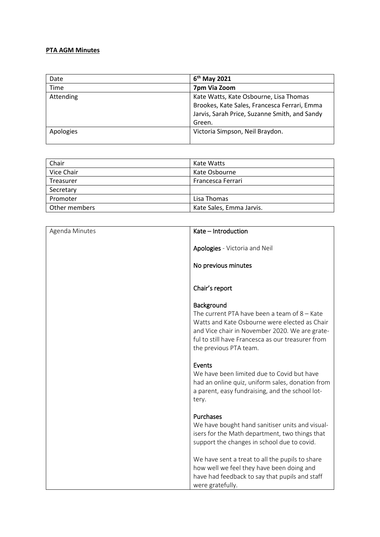## **PTA AGM Minutes**

| Date      | May 2021                                      |
|-----------|-----------------------------------------------|
| Time      | 7pm Via Zoom                                  |
| Attending | Kate Watts, Kate Osbourne, Lisa Thomas        |
|           | Brookes, Kate Sales, Francesca Ferrari, Emma  |
|           | Jarvis, Sarah Price, Suzanne Smith, and Sandy |
|           | Green.                                        |
| Apologies | Victoria Simpson, Neil Braydon.               |
|           |                                               |

| Chair         | Kate Watts               |
|---------------|--------------------------|
| Vice Chair    | Kate Osbourne            |
| Treasurer     | Francesca Ferrari        |
| Secretary     |                          |
| Promoter      | Lisa Thomas              |
| Other members | Kate Sales, Emma Jarvis. |

| Agenda Minutes | Kate - Introduction                                                                                                                                                                                                                            |
|----------------|------------------------------------------------------------------------------------------------------------------------------------------------------------------------------------------------------------------------------------------------|
|                | Apologies - Victoria and Neil<br>No previous minutes                                                                                                                                                                                           |
|                | Chair's report                                                                                                                                                                                                                                 |
|                | Background<br>The current PTA have been a team of $8 -$ Kate<br>Watts and Kate Osbourne were elected as Chair<br>and Vice chair in November 2020. We are grate-<br>ful to still have Francesca as our treasurer from<br>the previous PTA team. |
|                | Events<br>We have been limited due to Covid but have<br>had an online quiz, uniform sales, donation from<br>a parent, easy fundraising, and the school lot-<br>tery.                                                                           |
|                | Purchases<br>We have bought hand sanitiser units and visual-<br>isers for the Math department, two things that<br>support the changes in school due to covid.                                                                                  |
|                | We have sent a treat to all the pupils to share<br>how well we feel they have been doing and<br>have had feedback to say that pupils and staff<br>were gratefully.                                                                             |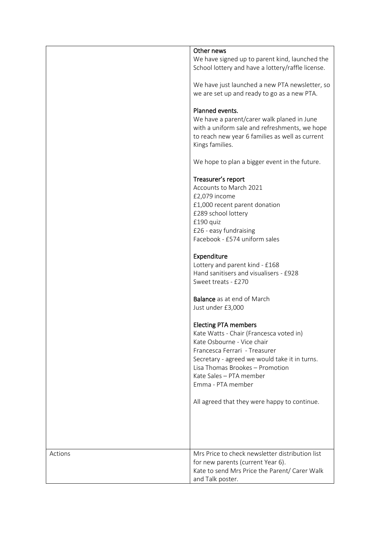|         | Other news                                        |
|---------|---------------------------------------------------|
|         |                                                   |
|         | We have signed up to parent kind, launched the    |
|         | School lottery and have a lottery/raffle license. |
|         |                                                   |
|         | We have just launched a new PTA newsletter, so    |
|         | we are set up and ready to go as a new PTA.       |
|         |                                                   |
|         |                                                   |
|         | Planned events.                                   |
|         | We have a parent/carer walk planed in June        |
|         | with a uniform sale and refreshments, we hope     |
|         | to reach new year 6 families as well as current   |
|         | Kings families.                                   |
|         |                                                   |
|         |                                                   |
|         | We hope to plan a bigger event in the future.     |
|         |                                                   |
|         | Treasurer's report                                |
|         | Accounts to March 2021                            |
|         | £2,079 income                                     |
|         | £1,000 recent parent donation                     |
|         |                                                   |
|         | £289 school lottery                               |
|         | £190 quiz                                         |
|         | £26 - easy fundraising                            |
|         | Facebook - £574 uniform sales                     |
|         |                                                   |
|         | Expenditure                                       |
|         | Lottery and parent kind - £168                    |
|         |                                                   |
|         | Hand sanitisers and visualisers - £928            |
|         | Sweet treats - £270                               |
|         |                                                   |
|         | <b>Balance</b> as at end of March                 |
|         | Just under £3,000                                 |
|         |                                                   |
|         | <b>Electing PTA members</b>                       |
|         | Kate Watts - Chair (Francesca voted in)           |
|         |                                                   |
|         | Kate Osbourne - Vice chair                        |
|         | Francesca Ferrari - Treasurer                     |
|         | Secretary - agreed we would take it in turns.     |
|         | Lisa Thomas Brookes - Promotion                   |
|         | Kate Sales - PTA member                           |
|         | Emma - PTA member                                 |
|         |                                                   |
|         | All agreed that they were happy to continue.      |
|         |                                                   |
|         |                                                   |
|         |                                                   |
|         |                                                   |
|         |                                                   |
|         |                                                   |
| Actions | Mrs Price to check newsletter distribution list   |
|         | for new parents (current Year 6).                 |
|         | Kate to send Mrs Price the Parent/ Carer Walk     |
|         |                                                   |
|         | and Talk poster.                                  |